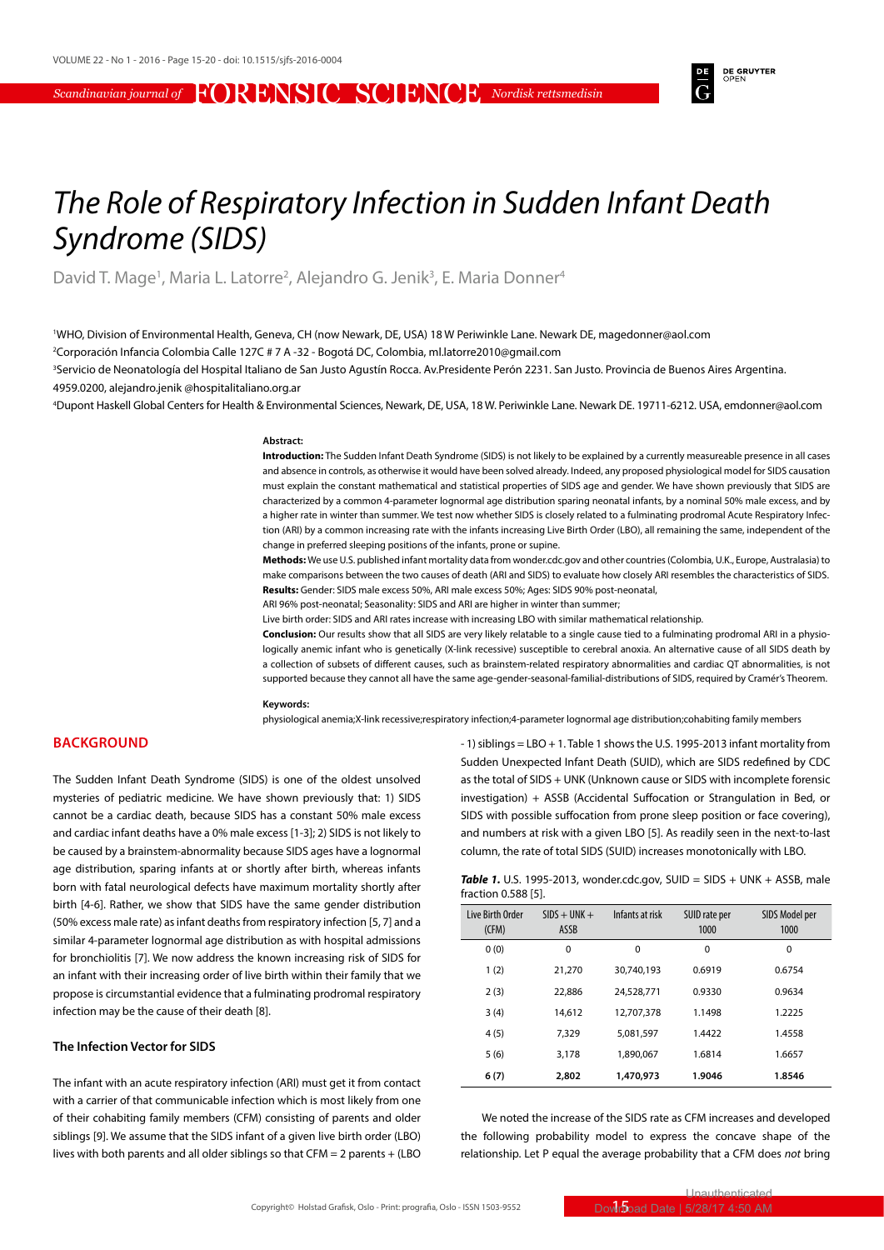**DE GRUYTER** 

# *The Role of Respiratory Infection in Sudden Infant Death Syndrome (SIDS)*

David T. Mage<sup>1</sup>, Maria L. Latorre<sup>2</sup>, Alejandro G. Jenik<sup>3</sup>, E. Maria Donner<sup>4</sup>

1 WHO, Division of Environmental Health, Geneva, CH (now Newark, DE, USA) 18 W Periwinkle Lane. Newark DE, magedonner@aol.com 2 Corporación Infancia Colombia Calle 127C # 7 A -32 - Bogotá DC, Colombia, ml.latorre2010@gmail.com

3 Servicio de Neonatología del Hospital Italiano de San Justo Agustín Rocca. Av.Presidente Perón 2231. San Justo. Provincia de Buenos Aires Argentina. 4959.0200, alejandro.jenik @hospitalitaliano.org.ar

4 Dupont Haskell Global Centers for Health & Environmental Sciences, Newark, DE, USA, 18 W. Periwinkle Lane. Newark DE. 19711-6212. USA, emdonner@aol.com

### **Abstract:**

**Introduction:** The Sudden Infant Death Syndrome (SIDS) is not likely to be explained by a currently measureable presence in all cases and absence in controls, as otherwise it would have been solved already. Indeed, any proposed physiological model for SIDS causation must explain the constant mathematical and statistical properties of SIDS age and gender. We have shown previously that SIDS are characterized by a common 4-parameter lognormal age distribution sparing neonatal infants, by a nominal 50% male excess, and by a higher rate in winter than summer. We test now whether SIDS is closely related to a fulminating prodromal Acute Respiratory Infection (ARI) by a common increasing rate with the infants increasing Live Birth Order (LBO), all remaining the same, independent of the change in preferred sleeping positions of the infants, prone or supine.

**Methods:** We use U.S. published infant mortality data from wonder.cdc.gov and other countries (Colombia, U.K., Europe, Australasia) to make comparisons between the two causes of death (ARI and SIDS) to evaluate how closely ARI resembles the characteristics of SIDS. **Results:** Gender: SIDS male excess 50%, ARI male excess 50%; Ages: SIDS 90% post-neonatal,

ARI 96% post-neonatal; Seasonality: SIDS and ARI are higher in winter than summer;

Live birth order: SIDS and ARI rates increase with increasing LBO with similar mathematical relationship.

**Conclusion:** Our results show that all SIDS are very likely relatable to a single cause tied to a fulminating prodromal ARI in a physiologically anemic infant who is genetically (X-link recessive) susceptible to cerebral anoxia. An alternative cause of all SIDS death by a collection of subsets of different causes, such as brainstem-related respiratory abnormalities and cardiac QT abnormalities, is not supported because they cannot all have the same age-gender-seasonal-familial-distributions of SIDS, required by Cramér's Theorem.

## **Keywords:**

physiological anemia;X-link recessive;respiratory infection;4-parameter lognormal age distribution;cohabiting family members

# **BACKGROUND**

The Sudden Infant Death Syndrome (SIDS) is one of the oldest unsolved mysteries of pediatric medicine. We have shown previously that: 1) SIDS cannot be a cardiac death, because SIDS has a constant 50% male excess and cardiac infant deaths have a 0% male excess [1-3]; 2) SIDS is not likely to be caused by a brainstem-abnormality because SIDS ages have a lognormal age distribution, sparing infants at or shortly after birth, whereas infants born with fatal neurological defects have maximum mortality shortly after birth [4-6]. Rather, we show that SIDS have the same gender distribution (50% excess male rate) as infant deaths from respiratory infection [5, 7] and a similar 4-parameter lognormal age distribution as with hospital admissions for bronchiolitis [7]. We now address the known increasing risk of SIDS for an infant with their increasing order of live birth within their family that we propose is circumstantial evidence that a fulminating prodromal respiratory infection may be the cause of their death [8].

## **The Infection Vector for SIDS**

The infant with an acute respiratory infection (ARI) must get it from contact with a carrier of that communicable infection which is most likely from one of their cohabiting family members (CFM) consisting of parents and older siblings [9]. We assume that the SIDS infant of a given live birth order (LBO) lives with both parents and all older siblings so that CFM = 2 parents + (LBO - 1) siblings = LBO + 1. Table 1 shows the U.S. 1995-2013 infant mortality from Sudden Unexpected Infant Death (SUID), which are SIDS redefined by CDC as the total of SIDS + UNK (Unknown cause or SIDS with incomplete forensic investigation) + ASSB (Accidental Suffocation or Strangulation in Bed, or SIDS with possible suffocation from prone sleep position or face covering), and numbers at risk with a given LBO [5]. As readily seen in the next-to-last column, the rate of total SIDS (SUID) increases monotonically with LBO.

| <b>Table 1.</b> U.S. 1995-2013, wonder.cdc.gov, SUID = SIDS + UNK + ASSB, male |  |
|--------------------------------------------------------------------------------|--|
| fraction 0.588 [5].                                                            |  |

| <b>Live Birth Order</b><br>(CFM) | $SIDS + UNK +$<br><b>ASSB</b> | Infants at risk | SUID rate per<br>1000 | SIDS Model per<br>1000 |
|----------------------------------|-------------------------------|-----------------|-----------------------|------------------------|
| 0(0)                             | $\Omega$                      | $\Omega$        | $\Omega$              | 0                      |
| 1(2)                             | 21,270                        | 30.740.193      | 0.6919                | 0.6754                 |
| 2(3)                             | 22.886                        | 24,528,771      | 0.9330                | 0.9634                 |
| 3(4)                             | 14.612                        | 12.707.378      | 1.1498                | 1.2225                 |
| 4(5)                             | 7.329                         | 5.081.597       | 1.4422                | 1.4558                 |
| 5(6)                             | 3.178                         | 1.890.067       | 1.6814                | 1.6657                 |
| 6(7)                             | 2,802                         | 1,470,973       | 1.9046                | 1.8546                 |

We noted the increase of the SIDS rate as CFM increases and developed the following probability model to express the concave shape of the relationship. Let P equal the average probability that a CFM does *not* bring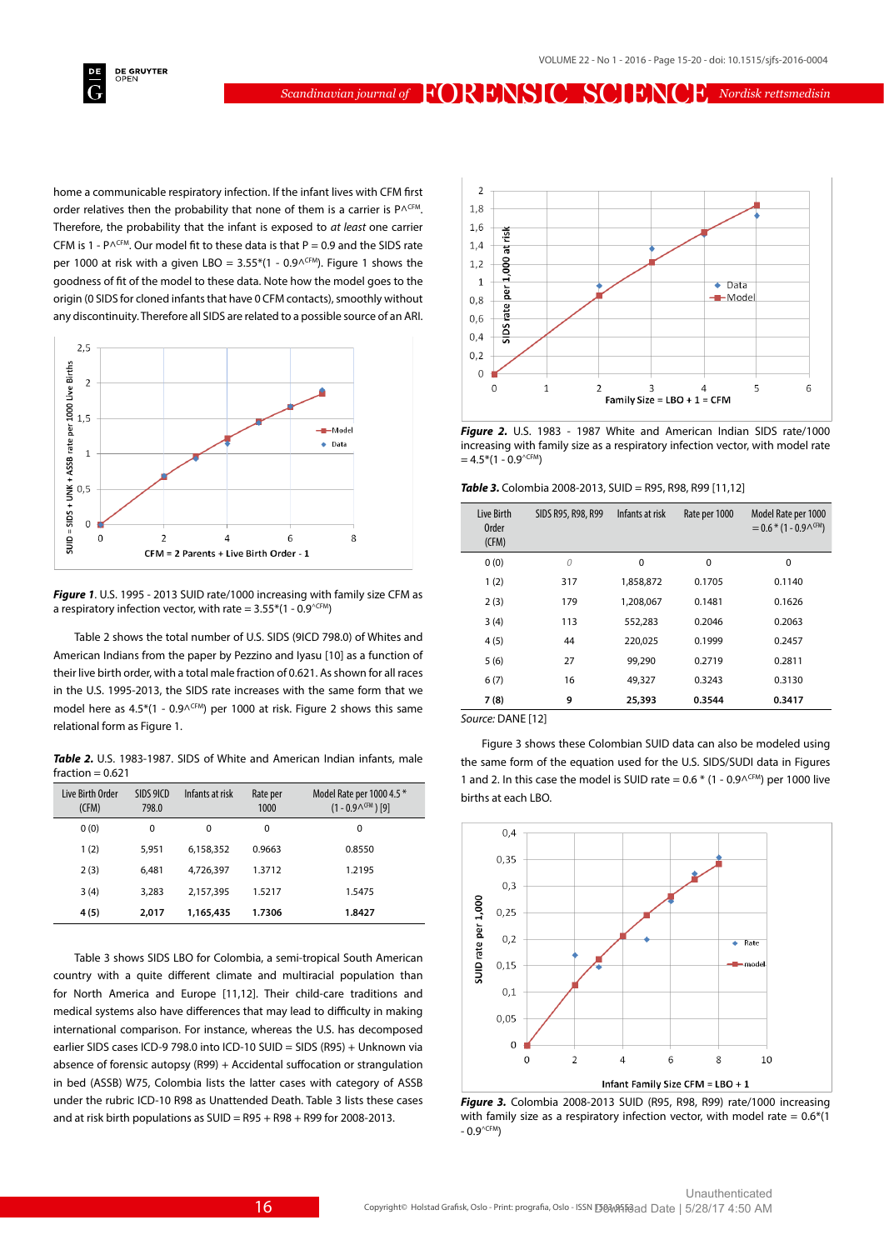

home a communicable respiratory infection. If the infant lives with CFM first order relatives then the probability that none of them is a carrier is  $P^{\Lambda \text{CFM}}$ . Therefore, the probability that the infant is exposed to *at least* one carrier CFM is 1 - P $\wedge$ CFM. Our model fit to these data is that P = 0.9 and the SIDS rate per 1000 at risk with a given LBO =  $3.55*(1 - 0.9^{\text{CFM}})$ . Figure 1 shows the goodness of fit of the model to these data. Note how the model goes to the origin (0 SIDS for cloned infants that have 0 CFM contacts), smoothly without any discontinuity. Therefore all SIDS are related to a possible source of an ARI.



*Figure 1*. U.S. 1995 - 2013 SUID rate/1000 increasing with family size CFM as a respiratory infection vector, with rate =  $3.55*(1 - 0.9^{\circ\text{CFM}})$ 

Table 2 shows the total number of U.S. SIDS (9ICD 798.0) of Whites and American Indians from the paper by Pezzino and Iyasu [10] as a function of their live birth order, with a total male fraction of 0.621. As shown for all races in the U.S. 1995-2013, the SIDS rate increases with the same form that we model here as  $4.5*(1 - 0.9^{\text{CFM}})$  per 1000 at risk. Figure 2 shows this same relational form as Figure 1.

*Table 2.* U.S. 1983-1987. SIDS of White and American Indian infants, male  $fraction = 0.621$ 

| Live Birth Order<br>(CFM) | SIDS 9ICD<br>798.0 | Infants at risk | Rate per<br>1000 | Model Rate per 1000 4.5 *<br>$(1 - 0.9^{\text{CHM}})$ [9] |
|---------------------------|--------------------|-----------------|------------------|-----------------------------------------------------------|
| 0(0)                      | 0                  | $\Omega$        | 0                | 0                                                         |
| 1(2)                      | 5.951              | 6,158,352       | 0.9663           | 0.8550                                                    |
| 2(3)                      | 6.481              | 4.726.397       | 1.3712           | 1.2195                                                    |
| 3(4)                      | 3.283              | 2,157,395       | 1.5217           | 1.5475                                                    |
| 4(5)                      | 2,017              | 1,165,435       | 1.7306           | 1.8427                                                    |

Table 3 shows SIDS LBO for Colombia, a semi-tropical South American country with a quite different climate and multiracial population than for North America and Europe [11,12]. Their child-care traditions and medical systems also have differences that may lead to difficulty in making international comparison. For instance, whereas the U.S. has decomposed earlier SIDS cases ICD-9 798.0 into ICD-10 SUID = SIDS (R95) + Unknown via absence of forensic autopsy (R99) + Accidental suffocation or strangulation in bed (ASSB) W75, Colombia lists the latter cases with category of ASSB under the rubric ICD-10 R98 as Unattended Death. Table 3 lists these cases and at risk birth populations as  $SUID = R95 + R98 + R99$  for 2008-2013.



*Figure 2.* U.S. 1983 - 1987 White and American Indian SIDS rate/1000 increasing with family size as a respiratory infection vector, with model rate  $= 4.5*(1 - 0.9^{\wedge \text{CFM}})$ 

*Table 3.* Colombia 2008-2013, SUID = R95, R98, R99 [11,12]

| Live Birth<br><b>Order</b><br>(CFM) | SIDS R95, R98, R99 | Infants at risk | Rate per 1000 | Model Rate per 1000<br>$= 0.6 * (1 - 0.9 \wedge \text{CFM})$ |
|-------------------------------------|--------------------|-----------------|---------------|--------------------------------------------------------------|
| 0(0)                                | 0                  | 0               | 0             | 0                                                            |
| 1(2)                                | 317                | 1,858,872       | 0.1705        | 0.1140                                                       |
| 2(3)                                | 179                | 1,208,067       | 0.1481        | 0.1626                                                       |
| 3(4)                                | 113                | 552,283         | 0.2046        | 0.2063                                                       |
| 4(5)                                | 44                 | 220.025         | 0.1999        | 0.2457                                                       |
| 5(6)                                | 27                 | 99,290          | 0.2719        | 0.2811                                                       |
| 6(7)                                | 16                 | 49,327          | 0.3243        | 0.3130                                                       |
| 7(8)                                | 9                  | 25,393          | 0.3544        | 0.3417                                                       |

*Source:* DANE [12]

Figure 3 shows these Colombian SUID data can also be modeled using the same form of the equation used for the U.S. SIDS/SUDI data in Figures 1 and 2. In this case the model is SUID rate =  $0.6 * (1 - 0.9^{\text{CFM}})$  per 1000 live births at each LBO.



*Figure 3.* Colombia 2008-2013 SUID (R95, R98, R99) rate/1000 increasing with family size as a respiratory infection vector, with model rate =  $0.6*(1)$  $-0.9^{\wedge \text{CFM}}$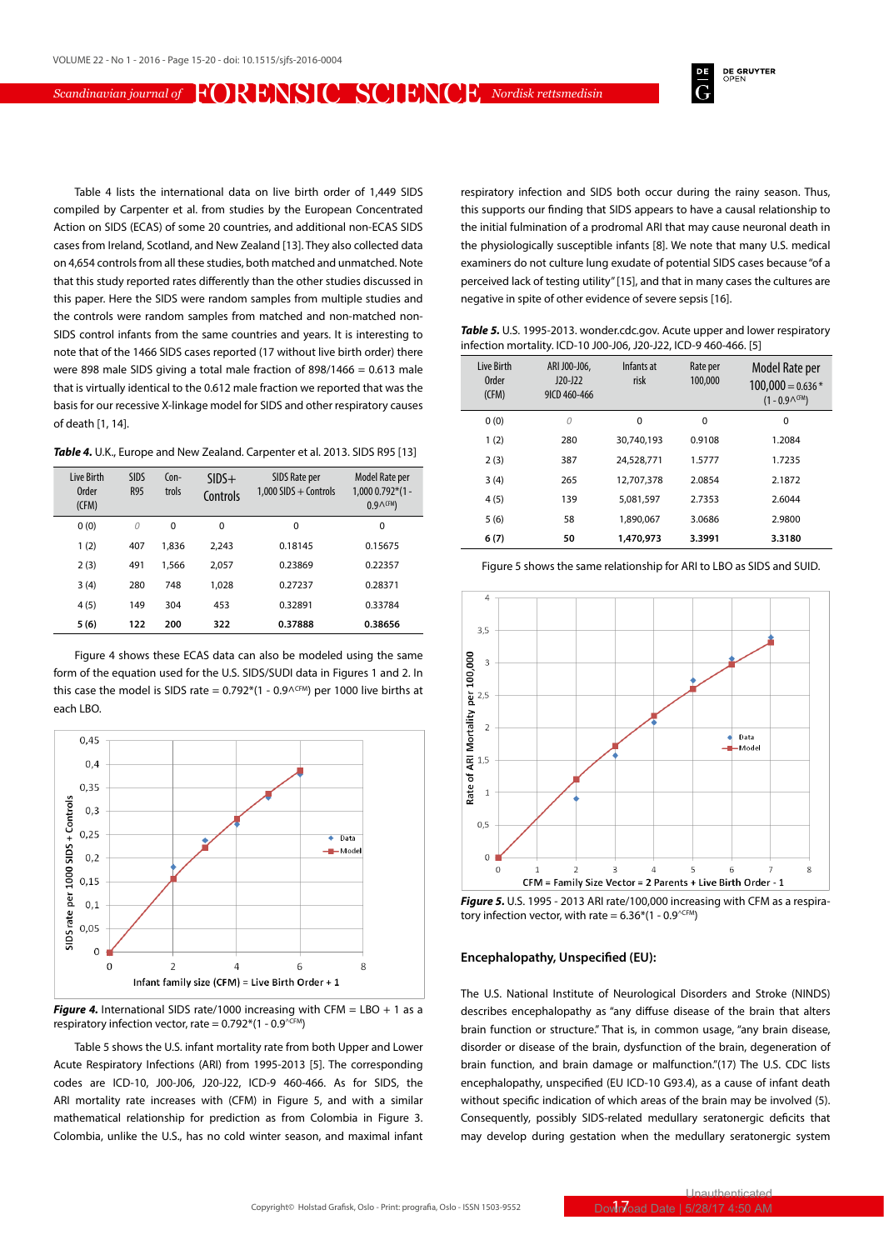**DE GRUYTER** 

Table 4 lists the international data on live birth order of 1,449 SIDS compiled by Carpenter et al. from studies by the European Concentrated Action on SIDS (ECAS) of some 20 countries, and additional non-ECAS SIDS cases from Ireland, Scotland, and New Zealand [13]. They also collected data on 4,654 controls from all these studies, both matched and unmatched. Note that this study reported rates differently than the other studies discussed in this paper. Here the SIDS were random samples from multiple studies and the controls were random samples from matched and non-matched non-SIDS control infants from the same countries and years. It is interesting to note that of the 1466 SIDS cases reported (17 without live birth order) there were 898 male SIDS giving a total male fraction of 898/1466 = 0.613 male that is virtually identical to the 0.612 male fraction we reported that was the basis for our recessive X-linkage model for SIDS and other respiratory causes of death [1, 14].

|  | Table 4. U.K., Europe and New Zealand. Carpenter et al. 2013. SIDS R95 [13] |  |  |
|--|-----------------------------------------------------------------------------|--|--|
|--|-----------------------------------------------------------------------------|--|--|

| <b>Live Birth</b><br><b>Order</b><br>(CFM) | <b>SIDS</b><br><b>R95</b> | $Con-$<br>trols | $SIDS+$<br>Controls | SIDS Rate per<br>$1.000$ SIDS + Controls | Model Rate per<br>$1,0000.792*(1 -$<br>$0.9 \wedge$ <sup>CFM</sup> ) |
|--------------------------------------------|---------------------------|-----------------|---------------------|------------------------------------------|----------------------------------------------------------------------|
| 0(0)                                       | 0                         | $\Omega$        | $\Omega$            | $\Omega$                                 | $\Omega$                                                             |
| 1(2)                                       | 407                       | 1.836           | 2.243               | 0.18145                                  | 0.15675                                                              |
| 2(3)                                       | 491                       | 1,566           | 2.057               | 0.23869                                  | 0.22357                                                              |
| 3(4)                                       | 280                       | 748             | 1.028               | 0.27237                                  | 0.28371                                                              |
| 4(5)                                       | 149                       | 304             | 453                 | 0.32891                                  | 0.33784                                                              |
| 5(6)                                       | 122                       | 200             | 322                 | 0.37888                                  | 0.38656                                                              |

Figure 4 shows these ECAS data can also be modeled using the same form of the equation used for the U.S. SIDS/SUDI data in Figures 1 and 2. In this case the model is SIDS rate =  $0.792*(1 - 0.9^{\text{CFM}})$  per 1000 live births at each LBO.



*Figure 4.* International SIDS rate/1000 increasing with CFM = LBO + 1 as a respiratory infection vector, rate =  $0.792*(1 - 0.9^{\wedge \text{CFM}})$ 

Table 5 shows the U.S. infant mortality rate from both Upper and Lower Acute Respiratory Infections (ARI) from 1995-2013 [5]. The corresponding codes are ICD-10, J00-J06, J20-J22, ICD-9 460-466. As for SIDS, the ARI mortality rate increases with (CFM) in Figure 5, and with a similar mathematical relationship for prediction as from Colombia in Figure 3. Colombia, unlike the U.S., has no cold winter season, and maximal infant respiratory infection and SIDS both occur during the rainy season. Thus, this supports our finding that SIDS appears to have a causal relationship to the initial fulmination of a prodromal ARI that may cause neuronal death in the physiologically susceptible infants [8]. We note that many U.S. medical examiners do not culture lung exudate of potential SIDS cases because "of a perceived lack of testing utility" [15], and that in many cases the cultures are negative in spite of other evidence of severe sepsis [16].

*Table 5.* U.S. 1995-2013. wonder.cdc.gov. Acute upper and lower respiratory infection mortality. ICD-10 J00-J06, J20-J22, ICD-9 460-466. [5]

| <b>Live Birth</b><br><b>Order</b><br>(CFM) | ARI J00-J06,<br>$J20-J22$<br>9ICD 460-466 | Infants at<br>risk | Rate per<br>100,000 | Model Rate per<br>$100,000 = 0.636*$<br>$(1 - 0.9^{\text{CFM}})$ |
|--------------------------------------------|-------------------------------------------|--------------------|---------------------|------------------------------------------------------------------|
| 0(0)                                       | 0                                         | $\Omega$           | $\Omega$            | 0                                                                |
| 1(2)                                       | 280                                       | 30.740.193         | 0.9108              | 1.2084                                                           |
| 2(3)                                       | 387                                       | 24.528.771         | 1.5777              | 1.7235                                                           |
| 3(4)                                       | 265                                       | 12.707.378         | 2.0854              | 2.1872                                                           |
| 4(5)                                       | 139                                       | 5.081.597          | 2.7353              | 2.6044                                                           |
| 5(6)                                       | 58                                        | 1.890.067          | 3.0686              | 2.9800                                                           |
| 6(7)                                       | 50                                        | 1,470,973          | 3.3991              | 3.3180                                                           |

Figure 5 shows the same relationship for ARI to LBO as SIDS and SUID.



*Figure 5.* U.S. 1995 - 2013 ARI rate/100,000 increasing with CFM as a respiratory infection vector, with rate =  $6.36*(1 - 0.9^{\text{CFM}})$ 

#### **Encephalopathy, Unspecified (EU):**

The U.S. National Institute of Neurological Disorders and Stroke (NINDS) describes encephalopathy as "any diffuse disease of the brain that alters brain function or structure." That is, in common usage, "any brain disease, disorder or disease of the brain, dysfunction of the brain, degeneration of brain function, and brain damage or malfunction."(17) The U.S. CDC lists encephalopathy, unspecified (EU ICD-10 G93.4), as a cause of infant death without specific indication of which areas of the brain may be involved (5). Consequently, possibly SIDS-related medullary seratonergic deficits that may develop during gestation when the medullary seratonergic system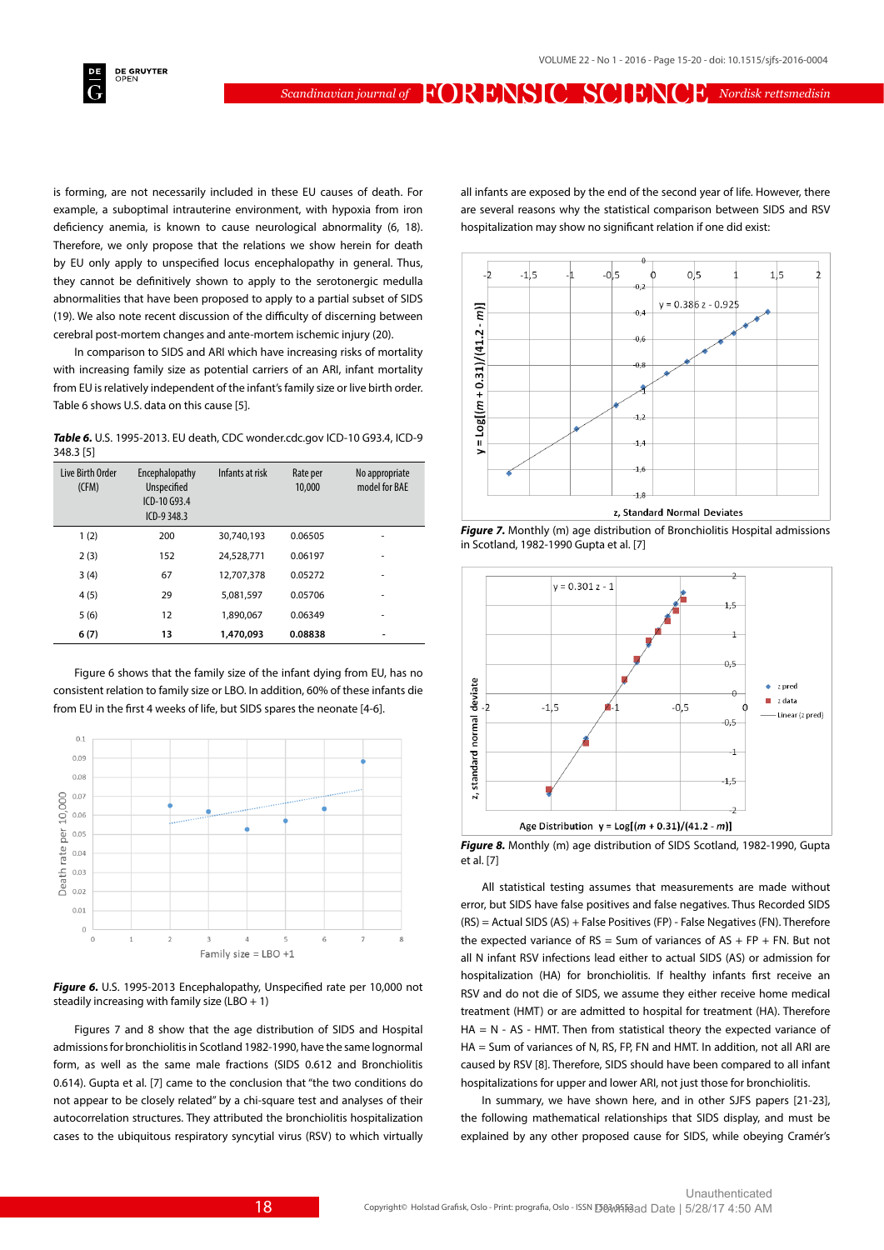

is forming, are not necessarily included in these EU causes of death. For example, a suboptimal intrauterine environment, with hypoxia from iron deficiency anemia, is known to cause neurological abnormality (6, 18). Therefore, we only propose that the relations we show herein for death by EU only apply to unspecified locus encephalopathy in general. Thus, they cannot be definitively shown to apply to the serotonergic medulla abnormalities that have been proposed to apply to a partial subset of SIDS (19). We also note recent discussion of the difficulty of discerning between cerebral post-mortem changes and ante-mortem ischemic injury (20).

In comparison to SIDS and ARI which have increasing risks of mortality with increasing family size as potential carriers of an ARI, infant mortality from EU is relatively independent of the infant's family size or live birth order. Table 6 shows U.S. data on this cause [5].

*Table 6.* U.S. 1995-2013. EU death, CDC wonder.cdc.gov ICD-10 G93.4, ICD-9 348.3 [5]

| Live Birth Order<br>(CFM) | Encephalopathy<br><b>Unspecified</b><br>ICD-10 G93.4<br>$ICD-9348.3$ | Infants at risk | Rate per<br>10,000 | No appropriate<br>model for BAE |
|---------------------------|----------------------------------------------------------------------|-----------------|--------------------|---------------------------------|
| 1(2)                      | 200                                                                  | 30.740.193      | 0.06505            | ۰                               |
| 2(3)                      | 152                                                                  | 24,528,771      | 0.06197            | ۰                               |
| 3(4)                      | 67                                                                   | 12.707.378      | 0.05272            | ۰                               |
| 4(5)                      | 29                                                                   | 5.081.597       | 0.05706            | ۰                               |
| 5(6)                      | 12                                                                   | 1.890.067       | 0.06349            | ۰                               |
| 6(7)                      | 13                                                                   | 1,470,093       | 0.08838            |                                 |

Figure 6 shows that the family size of the infant dying from EU, has no consistent relation to family size or LBO. In addition, 60% of these infants die from EU in the first 4 weeks of life, but SIDS spares the neonate [4-6].



*Figure 6.* U.S. 1995-2013 Encephalopathy, Unspecified rate per 10,000 not steadily increasing with family size  $(LBO + 1)$ 

Figures 7 and 8 show that the age distribution of SIDS and Hospital admissions for bronchiolitis in Scotland 1982-1990, have the same lognormal form, as well as the same male fractions (SIDS 0.612 and Bronchiolitis 0.614). Gupta et al. [7] came to the conclusion that "the two conditions do not appear to be closely related" by a chi-square test and analyses of their autocorrelation structures. They attributed the bronchiolitis hospitalization cases to the ubiquitous respiratory syncytial virus (RSV) to which virtually all infants are exposed by the end of the second year of life. However, there are several reasons why the statistical comparison between SIDS and RSV hospitalization may show no significant relation if one did exist:







*Figure 8.* Monthly (m) age distribution of SIDS Scotland, 1982-1990, Gupta et al. [7]

All statistical testing assumes that measurements are made without error, but SIDS have false positives and false negatives. Thus Recorded SIDS  $(RS) =$  Actual SIDS  $(AS)$  + False Positives (FP) - False Negatives (FN). Therefore the expected variance of  $RS = Sum$  of variances of  $AS + FP + FN$ . But not all N infant RSV infections lead either to actual SIDS (AS) or admission for hospitalization (HA) for bronchiolitis. If healthy infants first receive an RSV and do not die of SIDS, we assume they either receive home medical treatment (HMT) or are admitted to hospital for treatment (HA). Therefore  $HA = N - AS - HMT$ . Then from statistical theory the expected variance of HA = Sum of variances of N, RS, FP, FN and HMT. In addition, not all ARI are caused by RSV [8]. Therefore, SIDS should have been compared to all infant hospitalizations for upper and lower ARI, not just those for bronchiolitis.

In summary, we have shown here, and in other SJFS papers [21-23], the following mathematical relationships that SIDS display, and must be explained by any other proposed cause for SIDS, while obeying Cramér's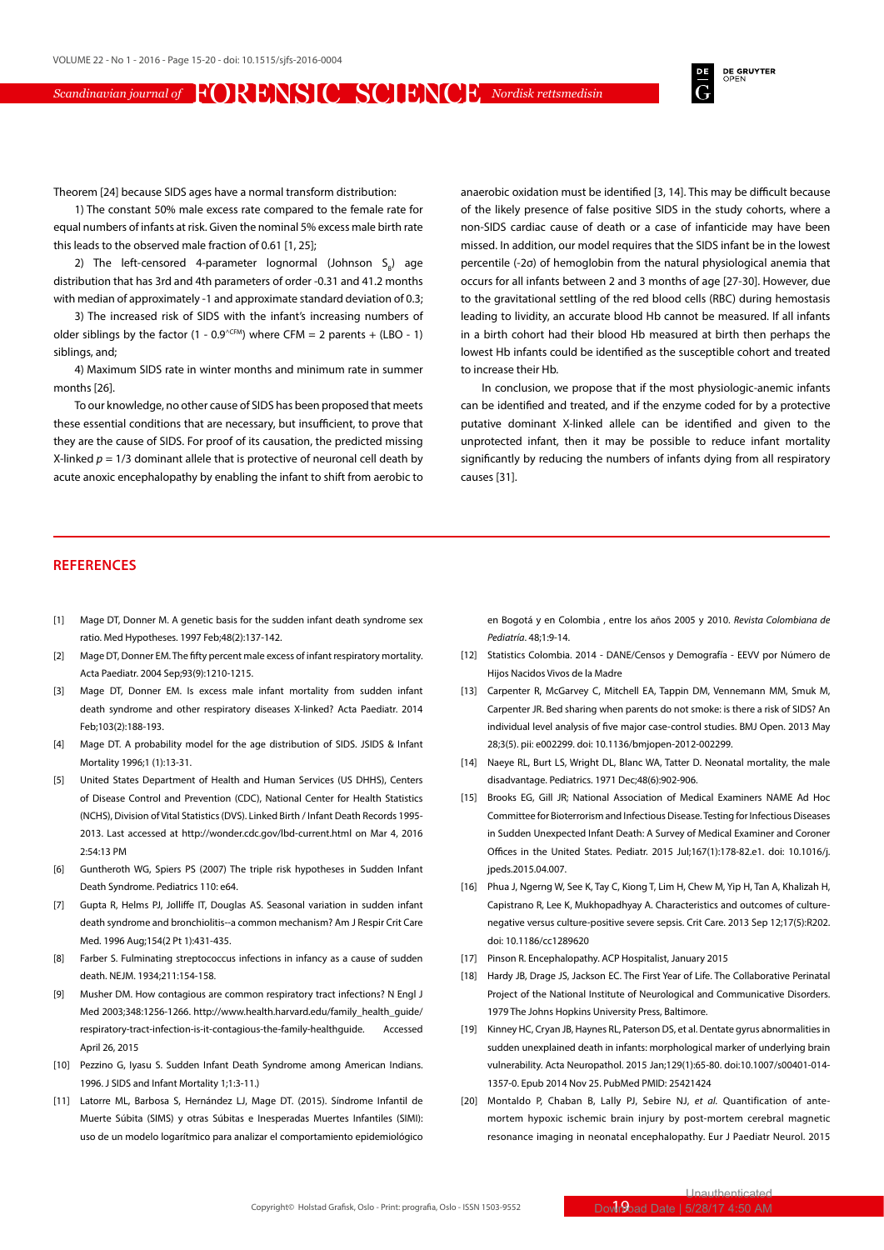**DE GRUYTER**<br>OPEN

Theorem [24] because SIDS ages have a normal transform distribution:

1) The constant 50% male excess rate compared to the female rate for equal numbers of infants at risk. Given the nominal 5% excess male birth rate this leads to the observed male fraction of 0.61 [1, 25];

2) The left-censored 4-parameter lognormal (Johnson  $S_{B}$ ) age distribution that has 3rd and 4th parameters of order -0.31 and 41.2 months with median of approximately -1 and approximate standard deviation of 0.3;

3) The increased risk of SIDS with the infant's increasing numbers of older siblings by the factor  $(1 - 0.9^{\text{CFM}})$  where CFM = 2 parents + (LBO - 1) siblings, and;

4) Maximum SIDS rate in winter months and minimum rate in summer months [26].

To our knowledge, no other cause of SIDS has been proposed that meets these essential conditions that are necessary, but insufficient, to prove that they are the cause of SIDS. For proof of its causation, the predicted missing X-linked  $p = 1/3$  dominant allele that is protective of neuronal cell death by acute anoxic encephalopathy by enabling the infant to shift from aerobic to anaerobic oxidation must be identified [3, 14]. This may be difficult because of the likely presence of false positive SIDS in the study cohorts, where a non-SIDS cardiac cause of death or a case of infanticide may have been missed. In addition, our model requires that the SIDS infant be in the lowest percentile (-2σ) of hemoglobin from the natural physiological anemia that occurs for all infants between 2 and 3 months of age [27-30]. However, due to the gravitational settling of the red blood cells (RBC) during hemostasis leading to lividity, an accurate blood Hb cannot be measured. If all infants in a birth cohort had their blood Hb measured at birth then perhaps the lowest Hb infants could be identified as the susceptible cohort and treated to increase their Hb.

In conclusion, we propose that if the most physiologic-anemic infants can be identified and treated, and if the enzyme coded for by a protective putative dominant X-linked allele can be identified and given to the unprotected infant, then it may be possible to reduce infant mortality significantly by reducing the numbers of infants dying from all respiratory causes [31].

## **REFERENCES**

- [1] Mage DT, Donner M. A genetic basis for the sudden infant death syndrome sex ratio. Med Hypotheses. 1997 Feb;48(2):137-142.
- [2] Mage DT, Donner EM. The fifty percent male excess of infant respiratory mortality. Acta Paediatr. 2004 Sep;93(9):1210-1215.
- [3] Mage DT, Donner EM. Is excess male infant mortality from sudden infant death syndrome and other respiratory diseases X-linked? Acta Paediatr. 2014 Feb;103(2):188-193.
- [4] Mage DT. A probability model for the age distribution of SIDS. JSIDS & Infant Mortality 1996;1 (1):13-31.
- [5] United States Department of Health and Human Services (US DHHS), Centers of Disease Control and Prevention (CDC), National Center for Health Statistics (NCHS), Division of Vital Statistics (DVS). Linked Birth / Infant Death Records 1995- 2013. Last accessed at http://wonder.cdc.gov/lbd-current.html on Mar 4, 2016 2:54:13 PM
- [6] Guntheroth WG, Spiers PS (2007) The triple risk hypotheses in Sudden Infant Death Syndrome. Pediatrics 110: e64.
- [7] Gupta R, Helms PJ, Jolliffe IT, Douglas AS. Seasonal variation in sudden infant death syndrome and bronchiolitis--a common mechanism? Am J Respir Crit Care Med. 1996 Aug;154(2 Pt 1):431-435.
- [8] Farber S. Fulminating streptococcus infections in infancy as a cause of sudden death. NEJM. 1934;211:154-158.
- [9] Musher DM. How contagious are common respiratory tract infections? N Engl J Med 2003;348:1256-1266. http://www.health.harvard.edu/family\_health\_guide/ respiratory-tract-infection-is-it-contagious-the-family-healthguide. Accessed April 26, 2015
- [10] Pezzino G, Iyasu S. Sudden Infant Death Syndrome among American Indians. 1996. J SIDS and Infant Mortality 1;1:3-11.)
- [11] Latorre ML, Barbosa S, Hernández LJ, Mage DT. (2015). Síndrome Infantil de Muerte Súbita (SIMS) y otras Súbitas e Inesperadas Muertes Infantiles (SIMI): uso de un modelo logarítmico para analizar el comportamiento epidemiológico

en Bogotá y en Colombia , entre los años 2005 y 2010. *Revista Colombiana de Pediatría*. 48;1:9-14.

- [12] Statistics Colombia. 2014 DANE/Censos y Demografía EEVV por Número de Hijos Nacidos Vivos de la Madre
- [13] Carpenter R, McGarvey C, Mitchell EA, Tappin DM, Vennemann MM, Smuk M, Carpenter JR. Bed sharing when parents do not smoke: is there a risk of SIDS? An individual level analysis of five major case-control studies. BMJ Open. 2013 May 28;3(5). pii: e002299. doi: 10.1136/bmjopen-2012-002299.
- [14] Naeye RL, Burt LS, Wright DL, Blanc WA, Tatter D. Neonatal mortality, the male disadvantage. Pediatrics. 1971 Dec;48(6):902-906.
- [15] Brooks EG, Gill JR: National Association of Medical Examiners NAME Ad Hoc Committee for Bioterrorism and Infectious Disease. Testing for Infectious Diseases in Sudden Unexpected Infant Death: A Survey of Medical Examiner and Coroner Offices in the United States. Pediatr. 2015 Jul;167(1):178-82.e1. doi: 10.1016/j. ipeds.2015.04.007.
- [16] Phua J, Ngerng W, See K, Tay C, Kiong T, Lim H, Chew M, Yip H, Tan A, Khalizah H, Capistrano R, Lee K, Mukhopadhyay A. Characteristics and outcomes of culturenegative versus culture-positive severe sepsis. Crit Care. 2013 Sep 12;17(5):R202. doi: 10.1186/cc1289620
- [17] Pinson R. Encephalopathy. ACP Hospitalist, January 2015
- [18] Hardy JB, Drage JS, Jackson EC. The First Year of Life. The Collaborative Perinatal Project of the National Institute of Neurological and Communicative Disorders. 1979 The Johns Hopkins University Press, Baltimore.
- [19] Kinney HC, Cryan JB, Haynes RL, Paterson DS, et al. Dentate gyrus abnormalities in sudden unexplained death in infants: morphological marker of underlying brain vulnerability. Acta Neuropathol. 2015 Jan;129(1):65-80. doi:10.1007/s00401-014- 1357-0. Epub 2014 Nov 25. PubMed PMID: 25421424
- [20] Montaldo P, Chaban B, Lally PJ, Sebire NJ, *et al.* Quantification of antemortem hypoxic ischemic brain injury by post-mortem cerebral magnetic resonance imaging in neonatal encephalopathy. Eur J Paediatr Neurol. 2015

Unauthenticated